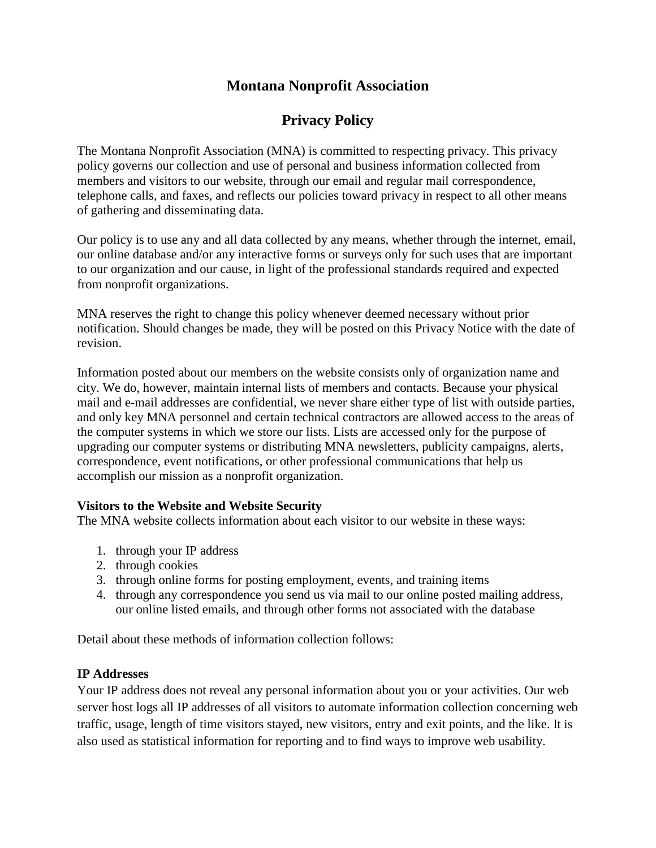# **Montana Nonprofit Association**

# **Privacy Policy**

The Montana Nonprofit Association (MNA) is committed to respecting privacy. This privacy policy governs our collection and use of personal and business information collected from members and visitors to our website, through our email and regular mail correspondence, telephone calls, and faxes, and reflects our policies toward privacy in respect to all other means of gathering and disseminating data.

Our policy is to use any and all data collected by any means, whether through the internet, email, our online database and/or any interactive forms or surveys only for such uses that are important to our organization and our cause, in light of the professional standards required and expected from nonprofit organizations.

MNA reserves the right to change this policy whenever deemed necessary without prior notification. Should changes be made, they will be posted on this Privacy Notice with the date of revision.

Information posted about our members on the website consists only of organization name and city. We do, however, maintain internal lists of members and contacts. Because your physical mail and e-mail addresses are confidential, we never share either type of list with outside parties, and only key MNA personnel and certain technical contractors are allowed access to the areas of the computer systems in which we store our lists. Lists are accessed only for the purpose of upgrading our computer systems or distributing MNA newsletters, publicity campaigns, alerts, correspondence, event notifications, or other professional communications that help us accomplish our mission as a nonprofit organization.

# **Visitors to the Website and Website Security**

The MNA website collects information about each visitor to our website in these ways:

- 1. through your IP address
- 2. through cookies
- 3. through online forms for posting employment, events, and training items
- 4. through any correspondence you send us via mail to our online posted mailing address, our online listed emails, and through other forms not associated with the database

Detail about these methods of information collection follows:

# **IP Addresses**

Your IP address does not reveal any personal information about you or your activities. Our web server host logs all IP addresses of all visitors to automate information collection concerning web traffic, usage, length of time visitors stayed, new visitors, entry and exit points, and the like. It is also used as statistical information for reporting and to find ways to improve web usability.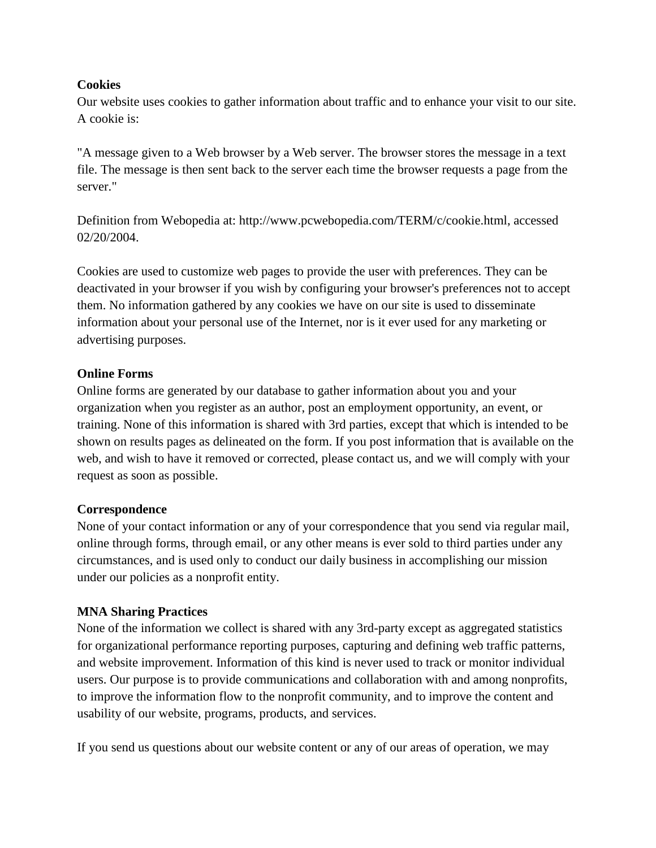### **Cookies**

Our website uses cookies to gather information about traffic and to enhance your visit to our site. A cookie is:

"A message given to a Web browser by a Web server. The browser stores the message in a text file. The message is then sent back to the server each time the browser requests a page from the server."

Definition from Webopedia at: http://www.pcwebopedia.com/TERM/c/cookie.html, accessed 02/20/2004.

Cookies are used to customize web pages to provide the user with preferences. They can be deactivated in your browser if you wish by configuring your browser's preferences not to accept them. No information gathered by any cookies we have on our site is used to disseminate information about your personal use of the Internet, nor is it ever used for any marketing or advertising purposes.

### **Online Forms**

Online forms are generated by our database to gather information about you and your organization when you register as an author, post an employment opportunity, an event, or training. None of this information is shared with 3rd parties, except that which is intended to be shown on results pages as delineated on the form. If you post information that is available on the web, and wish to have it removed or corrected, please contact us, and we will comply with your request as soon as possible.

#### **Correspondence**

None of your contact information or any of your correspondence that you send via regular mail, online through forms, through email, or any other means is ever sold to third parties under any circumstances, and is used only to conduct our daily business in accomplishing our mission under our policies as a nonprofit entity.

#### **MNA Sharing Practices**

None of the information we collect is shared with any 3rd-party except as aggregated statistics for organizational performance reporting purposes, capturing and defining web traffic patterns, and website improvement. Information of this kind is never used to track or monitor individual users. Our purpose is to provide communications and collaboration with and among nonprofits, to improve the information flow to the nonprofit community, and to improve the content and usability of our website, programs, products, and services.

If you send us questions about our website content or any of our areas of operation, we may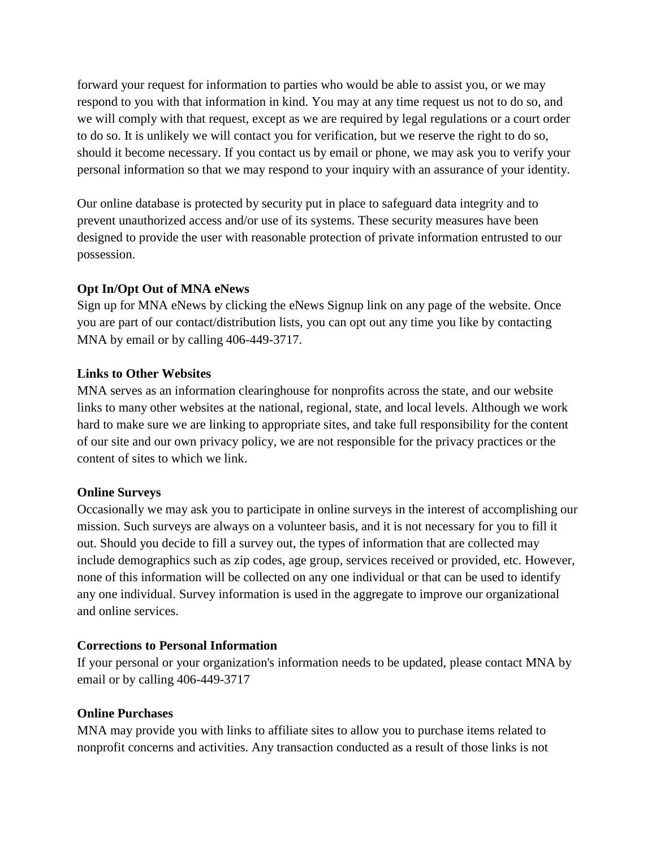forward your request for information to parties who would be able to assist you, or we may respond to you with that information in kind. You may at any time request us not to do so, and we will comply with that request, except as we are required by legal regulations or a court order to do so. It is unlikely we will contact you for verification, but we reserve the right to do so, should it become necessary. If you contact us by email or phone, we may ask you to verify your personal information so that we may respond to your inquiry with an assurance of your identity.

Our online database is protected by security put in place to safeguard data integrity and to prevent unauthorized access and/or use of its systems. These security measures have been designed to provide the user with reasonable protection of private information entrusted to our possession.

# **Opt In/Opt Out of MNA eNews**

Sign up for MNA eNews by clicking the eNews Signup link on any page of the website. Once you are part of our contact/distribution lists, you can opt out any time you like by contacting MNA by email or by calling 406-449-3717.

# **Links to Other Websites**

MNA serves as an information clearinghouse for nonprofits across the state, and our website links to many other websites at the national, regional, state, and local levels. Although we work hard to make sure we are linking to appropriate sites, and take full responsibility for the content of our site and our own privacy policy, we are not responsible for the privacy practices or the content of sites to which we link.

# **Online Surveys**

Occasionally we may ask you to participate in online surveys in the interest of accomplishing our mission. Such surveys are always on a volunteer basis, and it is not necessary for you to fill it out. Should you decide to fill a survey out, the types of information that are collected may include demographics such as zip codes, age group, services received or provided, etc. However, none of this information will be collected on any one individual or that can be used to identify any one individual. Survey information is used in the aggregate to improve our organizational and online services.

# **Corrections to Personal Information**

If your personal or your organization's information needs to be updated, please contact MNA by email or by calling 406-449-3717

# **Online Purchases**

MNA may provide you with links to affiliate sites to allow you to purchase items related to nonprofit concerns and activities. Any transaction conducted as a result of those links is not